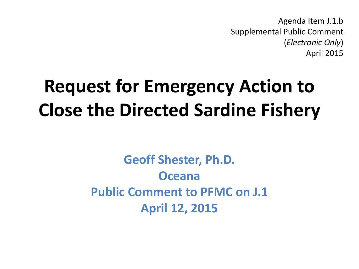Agenda Item J.1.b Supplemental Public Comment (*Electronic Only*) April 2015

## **Request for Emergency Action to Close the Directed Sardine Fishery**

**Geoff Shester, Ph.D. Oceana Public Comment to PFMC on J.1 April 12, 2015**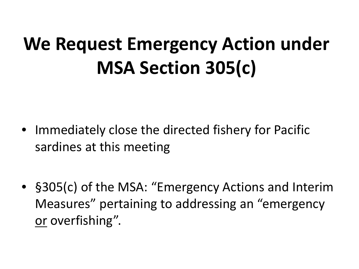## **We Request Emergency Action under MSA Section 305(c)**

- Immediately close the directed fishery for Pacific sardines at this meeting
- §305(c) of the MSA: "Emergency Actions and Interim Measures" pertaining to addressing an "emergency or overfishing".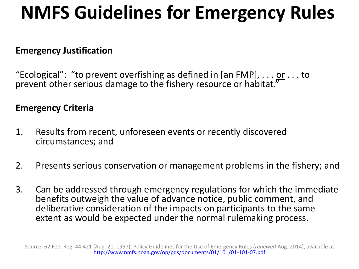## **NMFS Guidelines for Emergency Rules**

#### **Emergency Justification**

"Ecological": "to prevent overfishing as defined in [an FMP], . . . <u>or</u> . . . to prevent other serious damage to the fishery resource or habitat."

#### **Emergency Criteria**

- 1. Results from recent, unforeseen events or recently discovered circumstances; and
- 2. Presents serious conservation or management problems in the fishery; and
- 3. Can be addressed through emergency regulations for which the immediate benefits outweigh the value of advance notice, public comment, and deliberative consideration of the impacts on participants to the same extent as would be expected under the normal rulemaking process.

Source: 62 Fed. Reg. 44,421 (Aug. 21, 1997); Policy Guidelines for the Use of Emergency Rules (*renewed* Aug. 2014), available at <http://www.nmfs.noaa.gov/op/pds/documents/01/101/01-101-07.pdf>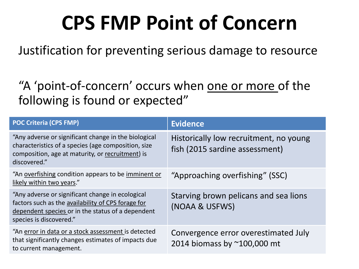## **CPS FMP Point of Concern**

Justification for preventing serious damage to resource

"A 'point-of-concern' occurs when one or more of the following is found or expected"

| <b>POC Criteria (CPS FMP)</b>                                                                                                                                                          | <b>Evidence</b>                                                          |
|----------------------------------------------------------------------------------------------------------------------------------------------------------------------------------------|--------------------------------------------------------------------------|
| "Any adverse or significant change in the biological<br>characteristics of a species (age composition, size<br>composition, age at maturity, or recruitment) is<br>discovered."        | Historically low recruitment, no young<br>fish (2015 sardine assessment) |
| "An overfishing condition appears to be imminent or<br>likely within two years."                                                                                                       | "Approaching overfishing" (SSC)                                          |
| "Any adverse or significant change in ecological<br>factors such as the availability of CPS forage for<br>dependent species or in the status of a dependent<br>species is discovered." | Starving brown pelicans and sea lions<br>(NOAA & USFWS)                  |
| "An error in data or a stock assessment is detected<br>that significantly changes estimates of impacts due<br>to current management.                                                   | Convergence error overestimated July<br>2014 biomass by ~100,000 mt      |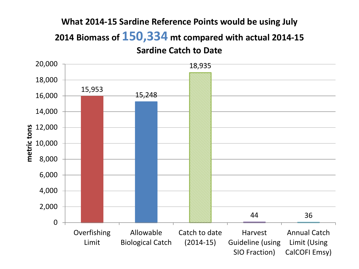#### **What 2014-15 Sardine Reference Points would be using July 2014 Biomass of 150,334 mt compared with actual 2014-15 Sardine Catch to Date**

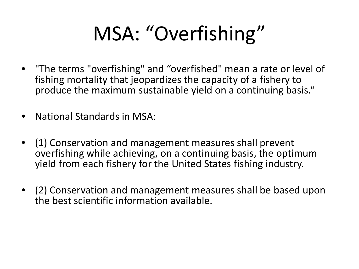# MSA: "Overfishing"

- "The terms "overfishing" and "overfished" mean a rate or level of fishing mortality that jeopardizes the capacity of a fishery to produce the maximum sustainable yield on a continuing basis."
- National Standards in MSA:
- (1) Conservation and management measures shall prevent overfishing while achieving, on a continuing basis, the optimum yield from each fishery for the United States fishing industry.
- (2) Conservation and management measures shall be based upon the best scientific information available.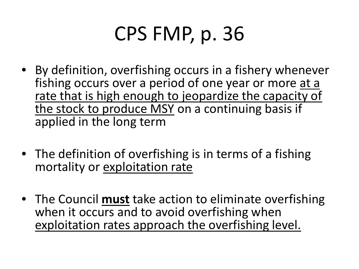## CPS FMP, p. 36

- By definition, overfishing occurs in a fishery whenever fishing occurs over a period of one year or more at a rate that is high enough to jeopardize the capacity of the stock to produce MSY on a continuing basis if applied in the long term
- The definition of overfishing is in terms of a fishing mortality or exploitation rate
- The Council **must** take action to eliminate overfishing when it occurs and to avoid overfishing when exploitation rates approach the overfishing level.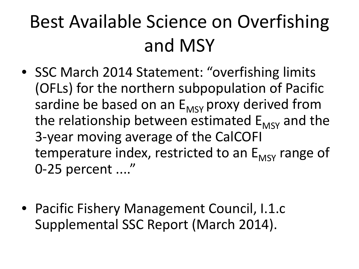## Best Available Science on Overfishing and MSY

- SSC March 2014 Statement: "overfishing limits (OFLs) for the northern subpopulation of Pacific sardine be based on an  $E_{MSY}$  proxy derived from the relationship between estimated  $E_{MSV}$  and the 3-year moving average of the CalCOFI temperature index, restricted to an  $E_{MSV}$  range of 0-25 percent ...."
- Pacific Fishery Management Council, I.1.c Supplemental SSC Report (March 2014).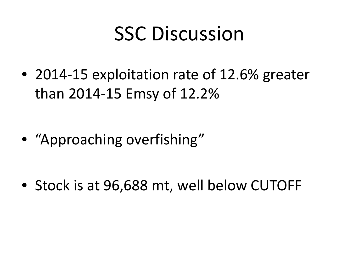## SSC Discussion

• 2014-15 exploitation rate of 12.6% greater than 2014-15 Emsy of 12.2%

• "Approaching overfishing"

• Stock is at 96,688 mt, well below CUTOFF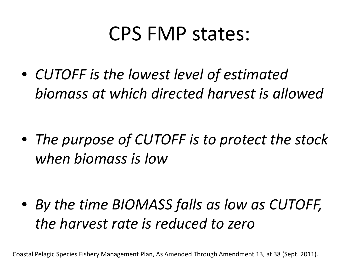### CPS FMP states:

• *CUTOFF is the lowest level of estimated biomass at which directed harvest is allowed*

• *The purpose of CUTOFF is to protect the stock when biomass is low*

• *By the time BIOMASS falls as low as CUTOFF, the harvest rate is reduced to zero*

Coastal Pelagic Species Fishery Management Plan, As Amended Through Amendment 13, at 38 (Sept. 2011).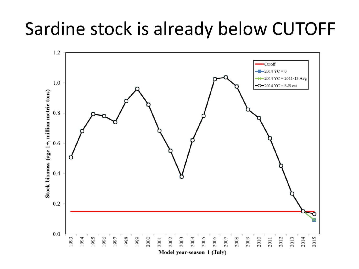### Sardine stock is already below CUTOFF

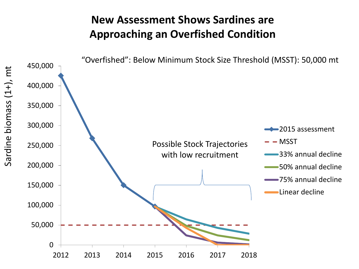#### **New Assessment Shows Sardines are Approaching an Overfished Condition**